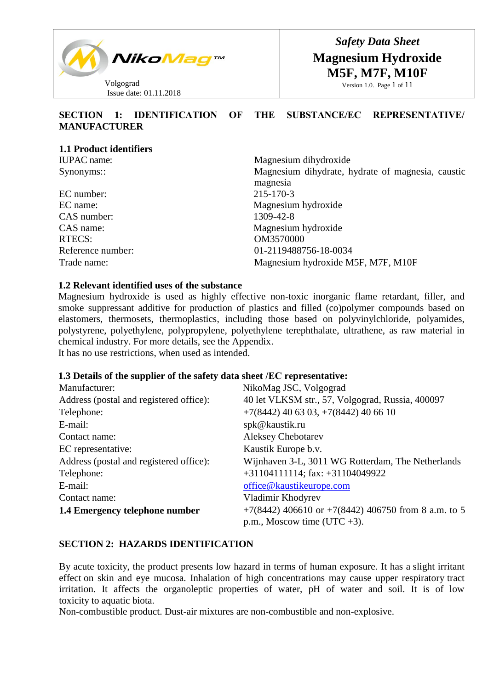

*Safety Data Sheet* **Magnesium Hydroxide M5F, M7F, M10F**

Version 1.0. Page 1 of 11

# **SECTION 1: IDENTIFICATION OF THE SUBSTANCE/ЕС REPRESENTATIVE/ MANUFACTURER**

| Magnesium dihydroxide                                         |
|---------------------------------------------------------------|
| Magnesium dihydrate, hydrate of magnesia, caustic<br>magnesia |
| 215-170-3                                                     |
| Magnesium hydroxide                                           |
| 1309-42-8                                                     |
| Magnesium hydroxide                                           |
| OM3570000                                                     |
| 01-2119488756-18-0034                                         |
| Magnesium hydroxide M5F, M7F, M10F                            |
|                                                               |

### **1.2 Relevant identified uses of the substance**

Magnesium hydroxide is used as highly effective non-toxic inorganic flame retardant, filler, and smoke suppressant additive for production of plastics and filled (co)polymer compounds based on elastomers, thermosets, thermoplastics, including those based on polyvinylchloride, polyamides, polystyrene, polyethylene, polypropylene, polyethylene terephthalate, ultrathene, as raw material in chemical industry. For more details, see the Appendix.

It has no use restrictions, when used as intended.

### **1.3 Details of the supplier of the safety data sheet /ЕС representative:**

| Manufacturer:                           | NikoMag JSC, Volgograd                                  |
|-----------------------------------------|---------------------------------------------------------|
| Address (postal and registered office): | 40 let VLKSM str., 57, Volgograd, Russia, 400097        |
| Telephone:                              | $+7(8442)$ 40 63 03, $+7(8442)$ 40 66 10                |
| E-mail:                                 | spk@kaustik.ru                                          |
| Contact name:                           | <b>Aleksey Chebotarev</b>                               |
| EC representative:                      | Kaustik Europe b.v.                                     |
| Address (postal and registered office): | Wijnhaven 3-L, 3011 WG Rotterdam, The Netherlands       |
| Telephone:                              | $+31104111114$ ; fax: $+31104049922$                    |
| E-mail:                                 | office@kaustikeurope.com                                |
| Contact name:                           | Vladimir Khodyrev                                       |
| 1.4 Emergency telephone number          | $+7(8442)$ 406610 or $+7(8442)$ 406750 from 8 a.m. to 5 |
|                                         | p.m., Moscow time (UTC $+3$ ).                          |

### **SECTION 2: HAZARDS IDENTIFICATION**

By acute toxicity, the product presents low hazard in terms of human exposure. It has a slight irritant effect on skin and eye mucosa. Inhalation of high concentrations may cause upper respiratory tract irritation. It affects the organoleptic properties of water, pH of water and soil. It is of low toxicity to aquatic biota.

Non-combustible product. Dust-air mixtures are non-combustible and non-explosive.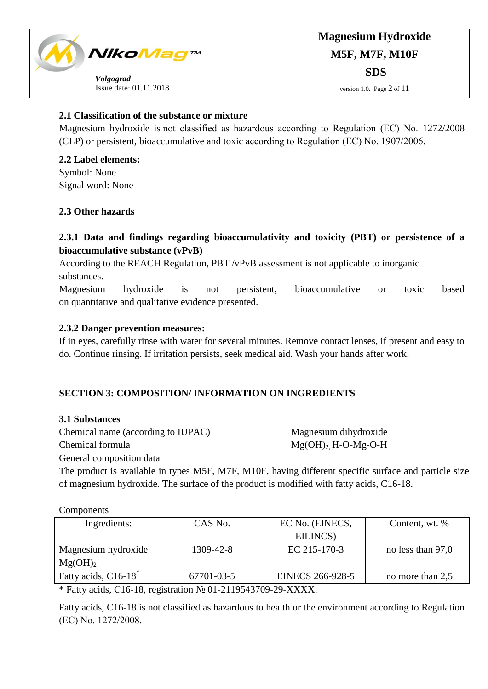

# **2.1 Classification of the substance or mixture**

Magnesium hydroxide is not classified as hazardous according to Regulation (ЕС) No. 1272/2008 (CLP) or persistent, bioaccumulative and toxic according to Regulation (ЕС) No. 1907/2006.

**2.2 Label elements:** Symbol: None Signal word: None

# **2.3 Other hazards**

# **2.3.1 Data and findings regarding bioaccumulativity and toxicity (PBT) or persistence of a bioaccumulative substance (vPvB)**

According to the REACH Regulation, PBT /vPvB assessment is not applicable to inorganic substances.

Magnesium hydroxide is not persistent, bioaccumulative or toxic based on quantitative and qualitative evidence presented.

# **2.3.2 Danger prevention measures:**

If in eyes, carefully rinse with water for several minutes. Remove contact lenses, if present and easy to do. Continue rinsing. If irritation persists, seek medical aid. Wash your hands after work.

# **SECTION 3: COMPOSITION/ INFORMATION ON INGREDIENTS**

### **3.1 Substances**

Chemical name (according to IUPAC) Magnesium dihydroxide

Chemical formula  $Mg(OH)$ <sup>2</sup> H-O-Mg-O-H

General composition data

The product is available in types M5F, M7F, M10F, having different specific surface and particle size of magnesium hydroxide. The surface of the product is modified with fatty acids, C16-18.

Components

| Ingredients:                     | CAS No.    | EC No. (EINECS,         | Content, wt. %    |
|----------------------------------|------------|-------------------------|-------------------|
|                                  |            | EILINCS)                |                   |
| Magnesium hydroxide              | 1309-42-8  | EC 215-170-3            | no less than 97,0 |
| $Mg(OH)_2$                       |            |                         |                   |
| Fatty acids, C16-18 <sup>*</sup> | 67701-03-5 | <b>EINECS 266-928-5</b> | no more than 2,5  |
| .<br>.                           |            |                         |                   |

\* Fatty acids, С16-18, registration № 01-2119543709-29-XXXX.

Fatty acids, C16-18 is not classified as hazardous to health or the environment according to Regulation (ЕС) No. 1272/2008.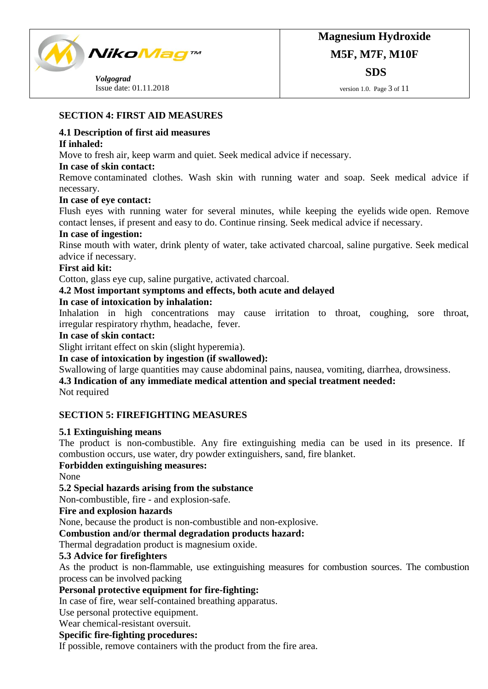

 *Volgograd*  Issue date: 01.11.2018

# **SECTION 4: FIRST AID MEASURES**

### **4.1 Description of first aid measures**

### **If inhaled:**

Move to fresh air, keep warm and quiet. Seek medical advice if necessary.

### **In case of skin contact:**

Remove contaminated clothes. Wash skin with running water and soap. Seek medical advice if necessary.

### **In case of eye contact:**

Flush eyes with running water for several minutes, while keeping the eyelids wide open. Remove contact lenses, if present and easy to do. Continue rinsing. Seek medical advice if necessary.

### **In case of ingestion:**

Rinse mouth with water, drink plenty of water, take activated charcoal, saline purgative. Seek medical advice if necessary.

### **First aid kit:**

Cotton, glass eye cup, saline purgative, activated charcoal.

### **4.2 Most important symptoms and effects, both acute and delayed**

# **In case of intoxication by inhalation:**

Inhalation in high concentrations may cause irritation to throat, coughing, sore throat, irregular respiratory rhythm, headache, fever.

### **In case of skin contact:**

Slight irritant effect on skin (slight hyperemia).

### **In case of intoxication by ingestion (if swallowed):**

Swallowing of large quantities may cause abdominal pains, nausea, vomiting, diarrhea, drowsiness.

### **4.3 Indication of any immediate medical attention and special treatment needed:**

Not required

# **SECTION 5: FIREFIGHTING MEASURES**

### **5.1 Extinguishing means**

The product is non-combustible. Any fire extinguishing media can be used in its presence. If combustion occurs, use water, dry powder extinguishers, sand, fire blanket.

### **Forbidden extinguishing measures:**

None

# **5.2 Special hazards arising from the substance**

Non-combustible, fire - and explosion-safe.

### **Fire and explosion hazards**

None, because the product is non-combustible and non-explosive.

# **Combustion and/or thermal degradation products hazard:**

Thermal degradation product is magnesium oxide.

# **5.3 Advice for firefighters**

As the product is non-flammable, use extinguishing measures for combustion sources. The combustion process can be involved packing

# **Personal protective equipment for fire-fighting:**

In case of fire, wear self-contained breathing apparatus.

Use personal protective equipment.

Wear chemical-resistant oversuit.

# **Specific fire-fighting procedures:**

If possible, remove containers with the product from the fire area.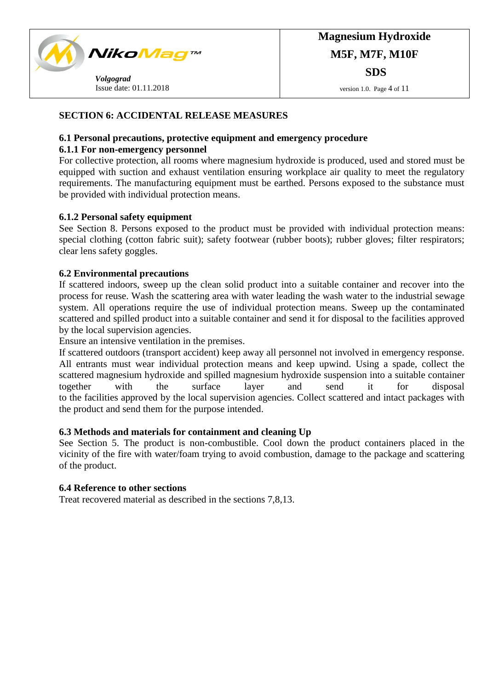

version 1.0. Page 4 of 11

# **SECTION 6: ACCIDENTAL RELEASE MEASURES**

# **6.1 Personal precautions, protective equipment and emergency procedure**

# **6.1.1 For non-emergency personnel**

For collective protection, all rooms where magnesium hydroxide is produced, used and stored must be equipped with suction and exhaust ventilation ensuring workplace air quality to meet the regulatory requirements. The manufacturing equipment must be earthed. Persons exposed to the substance must be provided with individual protection means.

# **6.1.2 Personal safety equipment**

See Section 8. Persons exposed to the product must be provided with individual protection means: special clothing (cotton fabric suit); safety footwear (rubber boots); rubber gloves; filter respirators; clear lens safety goggles.

### **6.2 Environmental precautions**

If scattered indoors, sweep up the clean solid product into a suitable container and recover into the process for reuse. Wash the scattering area with water leading the wash water to the industrial sewage system. All operations require the use of individual protection means. Sweep up the contaminated scattered and spilled product into a suitable container and send it for disposal to the facilities approved by the local supervision agencies.

Ensure an intensive ventilation in the premises.

If scattered outdoors (transport accident) keep away all personnel not involved in emergency response. All entrants must wear individual protection means and keep upwind. Using a spade, collect the scattered magnesium hydroxide and spilled magnesium hydroxide suspension into a suitable container together with the surface layer and send it for disposal to the facilities approved by the local supervision agencies. Collect scattered and intact packages with the product and send them for the purpose intended.

### **6.3 Methods and materials for containment and cleaning Up**

See Section 5. The product is non-combustible. Cool down the product containers placed in the vicinity of the fire with water/foam trying to avoid combustion, damage to the package and scattering of the product.

### **6.4 Reference to other sections**

Treat recovered material as described in the sections 7,8,13.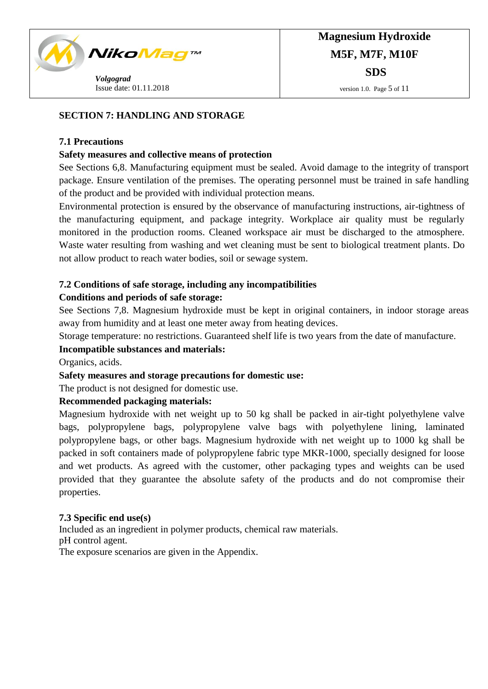

# **SECTION 7: HANDLING AND STORAGE**

### **7.1 Precautions**

### **Safety measures and collective means of protection**

See Sections 6,8. Manufacturing equipment must be sealed. Avoid damage to the integrity of transport package. Ensure ventilation of the premises. The operating personnel must be trained in safe handling of the product and be provided with individual protection means.

Environmental protection is ensured by the observance of manufacturing instructions, air-tightness of the manufacturing equipment, and package integrity. Workplace air quality must be regularly monitored in the production rooms. Cleaned workspace air must be discharged to the atmosphere. Waste water resulting from washing and wet cleaning must be sent to biological treatment plants. Do not allow product to reach water bodies, soil or sewage system.

# **7.2 Conditions of safe storage, including any incompatibilities**

# **Conditions and periods of safe storage:**

See Sections 7,8. Magnesium hydroxide must be kept in original containers, in indoor storage areas away from humidity and at least one meter away from heating devices.

Storage temperature: no restrictions. Guaranteed shelf life is two years from the date of manufacture.

### **Incompatible substances and materials:**

Organics, acids.

### **Safety measures and storage precautions for domestic use:**

The product is not designed for domestic use.

### **Recommended packaging materials:**

Magnesium hydroxide with net weight up to 50 kg shall be packed in air-tight polyethylene valve bags, polypropylene bags, polypropylene valve bags with polyethylene lining, laminated polypropylene bags, or other bags. Magnesium hydroxide with net weight up to 1000 kg shall be packed in soft containers made of polypropylene fabric type MKR-1000, specially designed for loose and wet products. As agreed with the customer, other packaging types and weights can be used provided that they guarantee the absolute safety of the products and do not compromise their properties.

### **7.3 Specific end use(s)**

Included as an ingredient in polymer products, chemical raw materials. pH control agent. The exposure scenarios are given in the Appendix.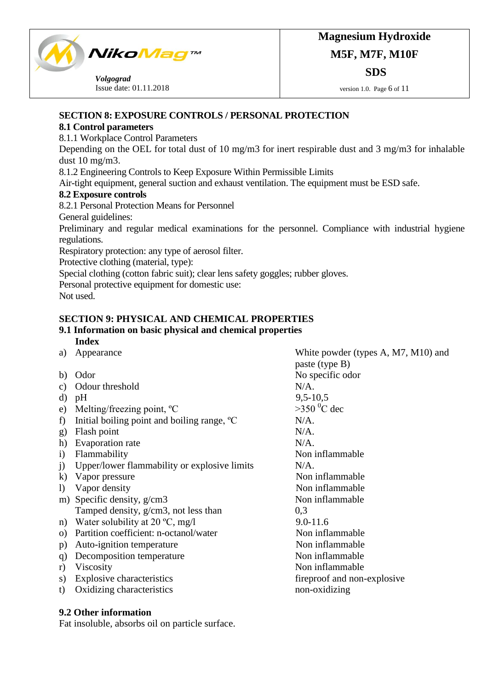

 *Volgograd*  Issue date: 01.11.2018

# **Magnesium Hydroxide M5F, M7F, M10F SDS**

version 1.0. Page 6 of 11

# **SECTION 8: EXPOSURE CONTROLS / PERSONAL PROTECTION**

# **8.1 Control parameters**

8.1.1 Workplace Control Parameters

Depending on the OEL for total dust of 10 mg/m3 for inert respirable dust and 3 mg/m3 for inhalable dust 10 mg/m3.

8.1.2 Engineering Controls to Keep Exposure Within Permissible Limits

Air-tight equipment, general suction and exhaust ventilation. The equipment must be ESD safe.

# **8.2 Exposure controls**

8.2.1 Personal Protection Means for Personnel

General guidelines:

Preliminary and regular medical examinations for the personnel. Compliance with industrial hygiene regulations.

Respiratory protection: any type of aerosol filter.

Protective clothing (material, type):

Special clothing (cotton fabric suit); clear lens safety goggles; rubber gloves.

Personal protective equipment for domestic use:

Not used.

# **SECTION 9: PHYSICAL AND CHEMICAL PROPERTIES**

#### **9.1 Information on basic physical and chemical properties Index**

- a) Appearance White powder (types A, M7, M10) and
- b) Odor No specific odor
- c) Odour threshold N/A.
- 
- e) Melting/freezing point,  ${}^{\circ}C$   $>350 {}^{\circ}C$  dec
- f) Initial boiling point and boiling range,  $^{\circ}$ C N/A.
- g) Flash point N/A.
- h) Evaporation rate N/A.
- i) Flammability Non inflammable
- j) Upper/lower flammability or explosive limits N/A.
- k) Vapor pressure Non inflammable
- l) Vapor density Non inflammable
- m) Specific density, g/cm3 Tamped density, g/cm3, not less than
- n) Water solubility at  $20 °C$ , mg/l 9.0-11.6
- o) Partition coefficient: n-octanol/water Non inflammable
- p) Auto-ignition temperature Non inflammable
- q) Decomposition temperature Non inflammable
- 
- 
- t) Oxidizing characteristics

d) pH 9,5-10,5 Non inflammable 0,3 r) Viscosity Non inflammable s) Explosive characteristics fireproof and non-explosive to Oxidizing characteristics fireproof and non-explosive non-oxidizing

paste (type B)

# **9.2 Other information**

Fat insoluble, absorbs oil on particle surface.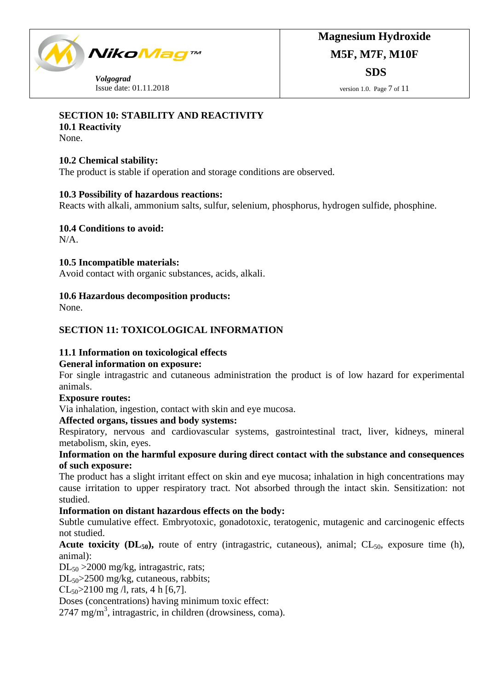

 *Volgograd*  Issue date: 01.11.2018

# **SECTION 10: STABILITY AND REACTIVITY**

**10.1 Reactivity**

None.

# **10.2 Chemical stability:**

The product is stable if operation and storage conditions are observed.

### **10.3 Possibility of hazardous reactions:**

Reacts with alkali, ammonium salts, sulfur, selenium, phosphorus, hydrogen sulfide, phosphine.

**10.4 Conditions to avoid:**

N/A.

### **10.5 Incompatible materials:**

Avoid contact with organic substances, acids, alkali.

# **10.6 Hazardous decomposition products:**

None.

# **SECTION 11: TOXICOLOGICAL INFORMATION**

# **11.1 Information on toxicological effects**

# **General information on exposure:**

For single intragastric and cutaneous administration the product is of low hazard for experimental animals.

# **Exposure routes:**

Via inhalation, ingestion, contact with skin and eye mucosa.

# **Affected organs, tissues and body systems:**

Respiratory, nervous and cardiovascular systems, gastrointestinal tract, liver, kidneys, mineral metabolism, skin, eyes.

# **Information on the harmful exposure during direct contact with the substance and consequences of such exposure:**

The product has a slight irritant effect on skin and eye mucosa; inhalation in high concentrations may cause irritation to upper respiratory tract. Not absorbed through the intact skin. Sensitization: not studied.

# **Information on distant hazardous effects on the body:**

Subtle cumulative effect. Embryotoxic, gonadotoxic, teratogenic, mutagenic and carcinogenic effects not studied.

# **Acute toxicity (** $DL_{50}$ **),** route of entry (intragastric, cutaneous), animal;  $CL_{50}$ , exposure time (h), animal):

DL<sub>50</sub> > 2000 mg/kg, intragastric, rats;

DL<sub>50</sub>>2500 mg/kg, cutaneous, rabbits;

 $CL_{50} > 2100$  mg /l, rats, 4 h [6,7].

Doses (concentrations) having minimum toxic effect:

2747 mg/m<sup>3</sup>, intragastric, in children (drowsiness, coma).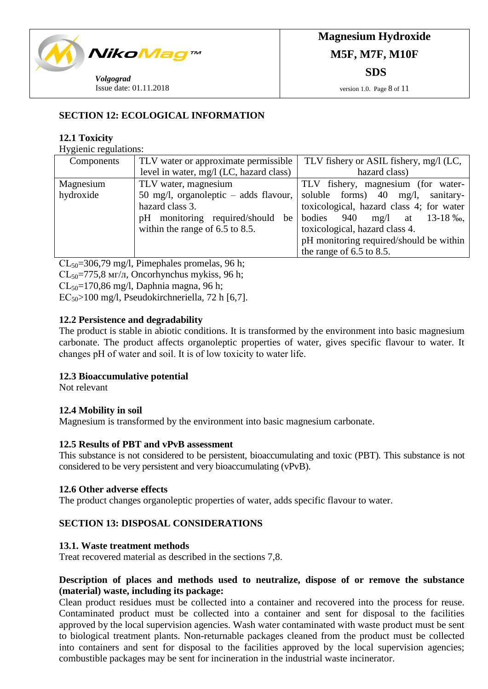

# **SECTION 12: ECOLOGICAL INFORMATION**

# **12.1 Toxicity**

Hygienic regulations:

| Components | TLV water or approximate permissible    | TLV fishery or ASIL fishery, mg/l (LC,          |
|------------|-----------------------------------------|-------------------------------------------------|
|            | level in water, mg/l (LC, hazard class) | hazard class)                                   |
| Magnesium  | TLV water, magnesium                    | TLV fishery, magnesium (for water-              |
| hydroxide  | 50 mg/l, organoleptic $-$ adds flavour, | soluble forms) $40 \text{ mg/l}$ ,<br>sanitary- |
|            | hazard class 3.                         | toxicological, hazard class 4; for water        |
|            | pH monitoring required/should<br>be     | bodies<br>940<br>$mg/l$ at 13-18 ‰,             |
|            | within the range of $6.5$ to $8.5$ .    | toxicological, hazard class 4.                  |
|            |                                         | pH monitoring required/should be within         |
|            |                                         | the range of $6.5$ to $8.5$ .                   |

 $CL_{50}$ =306,79 mg/l, Pimephales promelas, 96 h;

 $CL_{50} = 775.8$  мг/л, Oncorhynchus mykiss, 96 h;

 $CL_{50} = 170,86$  mg/l, Daphnia magna, 96 h;

 $EC_{50}$ >100 mg/l, Pseudokirchneriella, 72 h [6,7].

### **12.2 Persistence and degradability**

The product is stable in abiotic conditions. It is transformed by the environment into basic magnesium carbonate. The product affects organoleptic properties of water, gives specific flavour to water. It changes рН of water and soil. It is of low toxicity to water life.

### **12.3 Bioaccumulative potential**

Not relevant

# **12.4 Mobility in soil**

Magnesium is transformed by the environment into basic magnesium carbonate.

### **12.5 Results of PBT and vPvB assessment**

This substance is not considered to be persistent, bioaccumulating and toxic (PBT). This substance is not considered to be very persistent and very bioaccumulating (vPvB).

### **12.6 Other adverse effects**

The product changes organoleptic properties of water, adds specific flavour to water.

# **SECTION 13: DISPOSAL CONSIDERATIONS**

### **13.1. Waste treatment methods**

Treat recovered material as described in the sections 7,8.

# **Description of places and methods used to neutralize, dispose of or remove the substance (material) waste, including its package:**

Clean product residues must be collected into a container and recovered into the process for reuse. Contaminated product must be collected into a container and sent for disposal to the facilities approved by the local supervision agencies. Wash water contaminated with waste product must be sent to biological treatment plants. Non-returnable packages cleaned from the product must be collected into containers and sent for disposal to the facilities approved by the local supervision agencies; combustible packages may be sent for incineration in the industrial waste incinerator.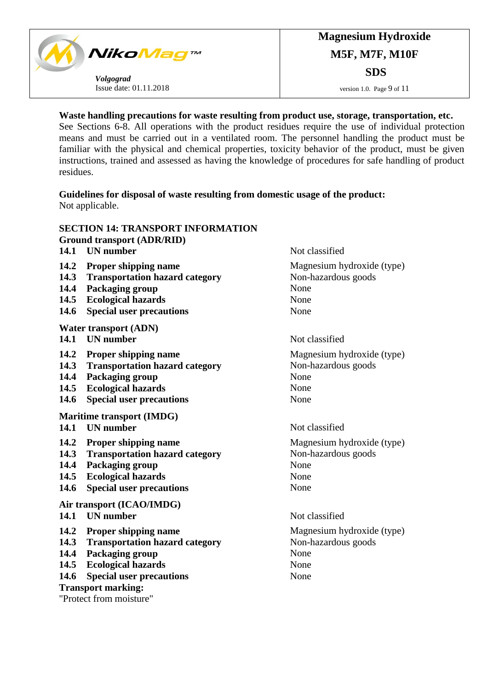

### **Waste handling precautions for waste resulting from product use, storage, transportation, etc.**

See Sections 6-8. All operations with the product residues require the use of individual protection means and must be carried out in a ventilated room. The personnel handling the product must be familiar with the physical and chemical properties, toxicity behavior of the product, must be given instructions, trained and assessed as having the knowledge of procedures for safe handling of product residues.

**Guidelines for disposal of waste resulting from domestic usage of the product:** Not applicable.

|                           | <b>SECTION 14: TRANSPORT INFORMATION</b> |                            |  |  |
|---------------------------|------------------------------------------|----------------------------|--|--|
|                           | <b>Ground transport (ADR/RID)</b>        |                            |  |  |
| 14.1                      | <b>UN</b> number                         | Not classified             |  |  |
| 14.2                      | <b>Proper shipping name</b>              | Magnesium hydroxide (type) |  |  |
| 14.3                      | <b>Transportation hazard category</b>    | Non-hazardous goods        |  |  |
| 14.4                      | Packaging group                          | None                       |  |  |
| 14.5                      | <b>Ecological hazards</b>                | None                       |  |  |
| 14.6                      | <b>Special user precautions</b>          | None                       |  |  |
|                           | <b>Water transport (ADN)</b>             |                            |  |  |
| 14.1                      | <b>UN</b> number                         | Not classified             |  |  |
| 14.2                      | <b>Proper shipping name</b>              | Magnesium hydroxide (type) |  |  |
| 14.3                      | <b>Transportation hazard category</b>    | Non-hazardous goods        |  |  |
| 14.4                      | <b>Packaging group</b>                   | None                       |  |  |
| 14.5                      | <b>Ecological hazards</b>                | None                       |  |  |
| 14.6                      | <b>Special user precautions</b>          | None                       |  |  |
|                           | <b>Maritime transport (IMDG)</b>         |                            |  |  |
| 14.1                      | <b>UN</b> number                         | Not classified             |  |  |
| 14.2                      | <b>Proper shipping name</b>              | Magnesium hydroxide (type) |  |  |
| 14.3                      | <b>Transportation hazard category</b>    | Non-hazardous goods        |  |  |
| 14.4                      | Packaging group                          | None                       |  |  |
| 14.5                      | <b>Ecological hazards</b>                | None                       |  |  |
| 14.6                      | <b>Special user precautions</b>          | None                       |  |  |
|                           | Air transport (ICAO/IMDG)                |                            |  |  |
|                           | 14.1 UN number                           | Not classified             |  |  |
| 14.2                      | <b>Proper shipping name</b>              | Magnesium hydroxide (type) |  |  |
| 14.3                      | <b>Transportation hazard category</b>    | Non-hazardous goods        |  |  |
| 14.4                      | Packaging group                          | None                       |  |  |
| 14.5                      | <b>Ecological hazards</b>                | None                       |  |  |
| 14.6                      | <b>Special user precautions</b>          | None                       |  |  |
| <b>Transport marking:</b> |                                          |                            |  |  |
| "Protect from moisture"   |                                          |                            |  |  |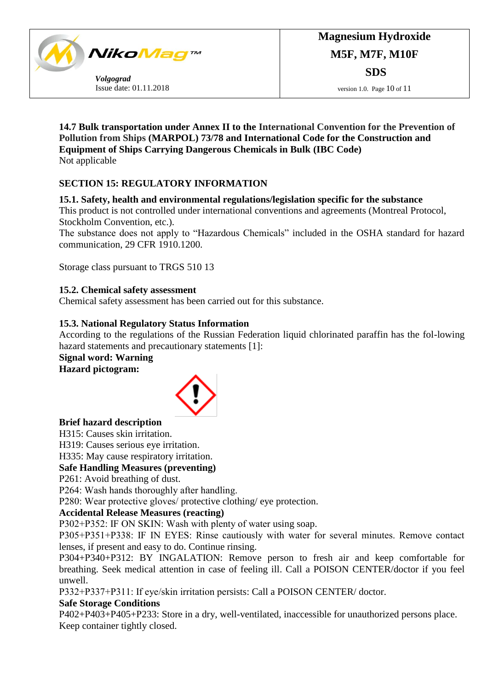

**14.7 Bulk transportation under Annex II to the International Convention for the Prevention of Pollution from Ships (MARPOL) 73/78 and International Code for the Construction and Equipment of Ships Carrying Dangerous Chemicals in Bulk (IBC Code)** Not applicable

# **SECTION 15: REGULATORY INFORMATION**

# **15.1. Safety, health and environmental regulations/legislation specific for the substance**

This product is not controlled under international conventions and agreements (Montreal Protocol, Stockholm Convention, etc.).

The substance does not apply to "Hazardous Chemicals" included in the OSHA standard for hazard communication, 29 CFR 1910.1200.

Storage class pursuant to TRGS 510 13

# **15.2. Chemical safety assessment**

Chemical safety assessment has been carried out for this substance.

### **15.3. National Regulatory Status Information**

According to the regulations of the Russian Federation liquid chlorinated paraffin has the fol-lowing hazard statements and precautionary statements [1]:

# **Signal word: Warning**

**Hazard pictogram:**



### **Brief hazard description**

Н315: Causes skin irritation.

Н319: Causes serious eye irritation.

Н335: May cause respiratory irritation.

# **Safe Handling Measures (preventing)**

Р261: Avoid breathing of dust.

Р264: Wash hands thoroughly after handling.

Р280: Wear protective gloves/ protective clothing/ eye protection.

# **Accidental Release Measures (reacting)**

Р302+Р352: IF ON SKIN: Wash with plenty of water using soap.

Р305+Р351+Р338: IF IN EYES: Rinse cautiously with water for several minutes. Remove contact lenses, if present and easy to do. Continue rinsing.

Р304+Р340+Р312: BY INGALATION: Remove person to fresh air and keep comfortable for breathing. Seek medical attention in case of feeling ill. Call a POISON CENTER/doctor if you feel unwell.

Р332+Р337+Р311: If eye/skin irritation persists: Call a POISON CENTER/ doctor.

### **Safe Storage Conditions**

Р402+Р403+Р405+Р233: Store in a dry, well-ventilated, inaccessible for unauthorized persons place. Keep container tightly closed.